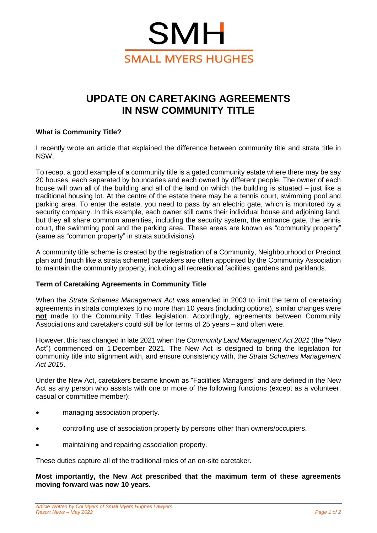# **SMH SMALL MYERS HUGHES**

# **UPDATE ON CARETAKING AGREEMENTS IN NSW COMMUNITY TITLE**

## **What is Community Title?**

I recently wrote an article that explained the difference between community title and strata title in NSW.

To recap, a good example of a community title is a gated community estate where there may be say 20 houses, each separated by boundaries and each owned by different people. The owner of each house will own all of the building and all of the land on which the building is situated – just like a traditional housing lot. At the centre of the estate there may be a tennis court, swimming pool and parking area. To enter the estate, you need to pass by an electric gate, which is monitored by a security company. In this example, each owner still owns their individual house and adjoining land, but they all share common amenities, including the security system, the entrance gate, the tennis court, the swimming pool and the parking area. These areas are known as "community property" (same as "common property" in strata subdivisions).

A community title scheme is created by the registration of a Community, Neighbourhood or Precinct plan and (much like a strata scheme) caretakers are often appointed by the Community Association to maintain the community property, including all recreational facilities, gardens and parklands.

## **Term of Caretaking Agreements in Community Title**

When the *Strata Schemes Management Act* was amended in 2003 to limit the term of caretaking agreements in strata complexes to no more than 10 years (including options), similar changes were **not** made to the Community Titles legislation. Accordingly, agreements between Community Associations and caretakers could still be for terms of 25 years – and often were.

However, this has changed in late 2021 when the *Community Land Management Act 2021* (the "New Act") commenced on 1 December 2021. The New Act is designed to bring the legislation for community title into alignment with, and ensure consistency with, the *Strata Schemes Management Act 2015*.

Under the New Act, caretakers became known as "Facilities Managers" and are defined in the New Act as any person who assists with one or more of the following functions (except as a volunteer, casual or committee member):

- managing association property.
- controlling use of association property by persons other than owners/occupiers.
- maintaining and repairing association property.

These duties capture all of the traditional roles of an on-site caretaker.

**Most importantly, the New Act prescribed that the maximum term of these agreements moving forward was now 10 years.**